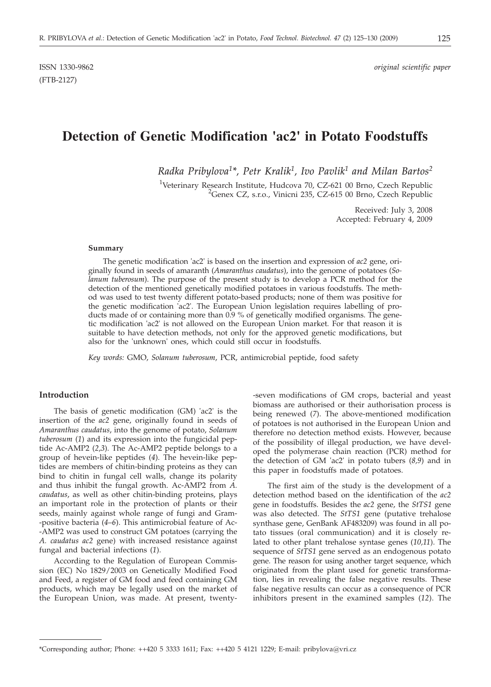ISSN 1330-9862 *original scientific paper*

# **Detection of Genetic Modification 'ac2' in Potato Foodstuffs**

*Radka Pribylova1\*, Petr Kralik1, Ivo Pavlik1 and Milan Bartos2*

<sup>1</sup>Veterinary Research Institute, Hudcova 70, CZ-621 00 Brno, Czech Republic <sup>2</sup>Cenex CZ-5 t.0 Vinioni 235, CZ-615 00 Brno, Czech Republic <sup>2</sup>Genex CZ, s.r.o., Vinicni 235, CZ-615 00 Brno, Czech Republic

> Received: July 3, 2008 Accepted: February 4, 2009

#### **Summary**

The genetic modification 'ac2' is based on the insertion and expression of *ac2* gene, originally found in seeds of amaranth (*Amaranthus caudatus*), into the genome of potatoes (*Solanum tuberosum*). The purpose of the present study is to develop a PCR method for the detection of the mentioned genetically modified potatoes in various foodstuffs. The method was used to test twenty different potato-based products; none of them was positive for the genetic modification 'ac2'. The European Union legislation requires labelling of products made of or containing more than 0.9 % of genetically modified organisms. The genetic modification 'ac2' is not allowed on the European Union market. For that reason it is suitable to have detection methods, not only for the approved genetic modifications, but also for the 'unknown' ones, which could still occur in foodstuffs.

*Key words:* GMO, *Solanum tuberosum*, PCR, antimicrobial peptide, food safety

## **Introduction**

The basis of genetic modification (GM) 'ac2' is the insertion of the *ac2* gene, originally found in seeds of *Amaranthus caudatus*, into the genome of potato, *Solanum tuberosum* (*1*) and its expression into the fungicidal peptide Ac-AMP2 (*2*,*3*). The Ac-AMP2 peptide belongs to a group of hevein-like peptides (*4*). The hevein-like peptides are members of chitin-binding proteins as they can bind to chitin in fungal cell walls, change its polarity and thus inhibit the fungal growth. Ac-AMP2 from *A. caudatus*, as well as other chitin-binding proteins, plays an important role in the protection of plants or their seeds, mainly against whole range of fungi and Gram- -positive bacteria (*4*–*6*). This antimicrobial feature of Ac- -AMP2 was used to construct GM potatoes (carrying the *A. caudatus ac2* gene) with increased resistance against fungal and bacterial infections (*1*).

According to the Regulation of European Commission (EC) No 1829/2003 on Genetically Modified Food and Feed, a register of GM food and feed containing GM products, which may be legally used on the market of the European Union, was made. At present, twenty-seven modifications of GM crops, bacterial and yeast biomass are authorised or their authorisation process is being renewed (*7*). The above-mentioned modification of potatoes is not authorised in the European Union and therefore no detection method exists. However, because of the possibility of illegal production, we have developed the polymerase chain reaction (PCR) method for the detection of GM 'ac2' in potato tubers (*8,9*) and in this paper in foodstuffs made of potatoes.

The first aim of the study is the development of a detection method based on the identification of the *ac2* gene in foodstuffs. Besides the *ac2* gene, the *StTS1* gene was also detected. The *StTS1* gene (putative trehalose synthase gene, GenBank AF483209) was found in all potato tissues (oral communication) and it is closely related to other plant trehalose syntase genes (*10,11*). The sequence of *StTS1* gene served as an endogenous potato gene. The reason for using another target sequence, which originated from the plant used for genetic transformation, lies in revealing the false negative results. These false negative results can occur as a consequence of PCR inhibitors present in the examined samples (*12*). The

<sup>\*</sup>Corresponding author; Phone:  $++420$  5 3333 1611; Fax:  $++420$  5 4121 1229; E-mail: pribylova@vri.cz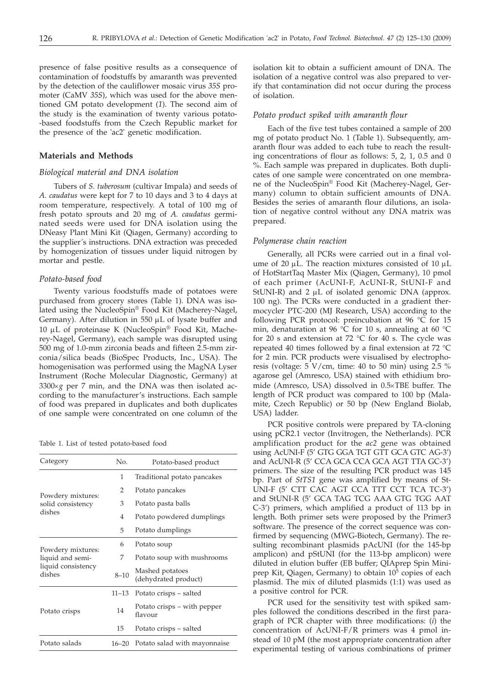presence of false positive results as a consequence of contamination of foodstuffs by amaranth was prevented by the detection of the cauliflower mosaic virus *35S* promoter (CaMV *35S*), which was used for the above mentioned GM potato development (*1*). The second aim of the study is the examination of twenty various potato- -based foodstuffs from the Czech Republic market for the presence of the 'ac2' genetic modification.

## **Materials and Methods**

### *Biological material and DNA isolation*

Tubers of *S. tuberosum* (cultivar Impala) and seeds of *A. caudatus* were kept for 7 to 10 days and 3 to 4 days at room temperature, respectively. A total of 100 mg of fresh potato sprouts and 20 mg of *A. caudatus* germinated seeds were used for DNA isolation using the DNeasy Plant Mini Kit (Qiagen, Germany) according to the supplier´s instructions. DNA extraction was preceded by homogenization of tissues under liquid nitrogen by mortar and pestle.

#### *Potato-based food*

Twenty various foodstuffs made of potatoes were purchased from grocery stores (Table 1). DNA was isolated using the NucleoSpin® Food Kit (Macherey-Nagel, Germany). After dilution in 550  $\mu$ L of lysate buffer and <sup>10</sup> mL of proteinase K (NucleoSpin® Food Kit, Macherey-Nagel, Germany), each sample was disrupted using 500 mg of 1.0-mm zirconia beads and fifteen 2.5-mm zirconia/silica beads (BioSpec Products, Inc., USA). The homogenisation was performed using the MagNA Lyser Instrument (Roche Molecular Diagnostic, Germany) at  $3300 \times g$  per 7 min, and the DNA was then isolated according to the manufacturer's instructions. Each sample of food was prepared in duplicates and both duplicates of one sample were concentrated on one column of the

Table 1. List of tested potato-based food

| Category                                                              | No.       | Potato-based product                    |  |  |
|-----------------------------------------------------------------------|-----------|-----------------------------------------|--|--|
| Powdery mixtures:<br>solid consistency<br>dishes                      | 1         | Traditional potato pancakes             |  |  |
|                                                                       | 2         | Potato pancakes                         |  |  |
|                                                                       | 3         | Potato pasta balls                      |  |  |
|                                                                       | 4         | Potato powdered dumplings               |  |  |
|                                                                       | 5         | Potato dumplings                        |  |  |
| Powdery mixtures:<br>liquid and semi-<br>liquid consistency<br>dishes | 6         | Potato soup                             |  |  |
|                                                                       | 7         | Potato soup with mushrooms              |  |  |
|                                                                       | $8 - 10$  | Mashed potatoes<br>(dehydrated product) |  |  |
| Potato crisps                                                         | $11 - 13$ | Potato crisps – salted                  |  |  |
|                                                                       | 14        | Potato crisps – with pepper<br>flavour  |  |  |
|                                                                       | 15        | Potato crisps – salted                  |  |  |
| Potato salads                                                         | $16 - 20$ | Potato salad with mayonnaise            |  |  |

isolation kit to obtain a sufficient amount of DNA. The isolation of a negative control was also prepared to verify that contamination did not occur during the process of isolation.

## *Potato product spiked with amaranth flour*

Each of the five test tubes contained a sample of 200 mg of potato product No. 1 (Table 1). Subsequently, amaranth flour was added to each tube to reach the resulting concentrations of flour as follows: 5, 2, 1, 0.5 and 0 %. Each sample was prepared in duplicates. Both duplicates of one sample were concentrated on one membrane of the NucleoSpin® Food Kit (Macherey-Nagel, Germany) column to obtain sufficient amounts of DNA. Besides the series of amaranth flour dilutions, an isolation of negative control without any DNA matrix was prepared.

#### *Polymerase chain reaction*

Generally, all PCRs were carried out in a final volume of 20  $\mu$ L. The reaction mixtures consisted of 10  $\mu$ L of HotStartTaq Master Mix (Qiagen, Germany), 10 pmol of each primer (AcUNI-F, AcUNI-R, StUNI-F and StUNI-R) and  $2 \mu L$  of isolated genomic DNA (approx. 100 ng). The PCRs were conducted in a gradient thermocycler PTC-200 (MJ Research, USA) according to the following PCR protocol: preincubation at 96 °C for 15 min, denaturation at 96 °C for 10 s, annealing at 60 °C for 20 s and extension at 72  $\degree$ C for 40 s. The cycle was repeated 40 times followed by a final extension at 72 °C for 2 min. PCR products were visualised by electrophoresis (voltage: 5 V/cm, time: 40 to 50 min) using 2.5 % agarose gel (Amresco, USA) stained with ethidium bromide (Amresco, USA) dissolved in 0.5×TBE buffer. The length of PCR product was compared to 100 bp (Malamite, Czech Republic) or 50 bp (New England Biolab, USA) ladder.

PCR positive controls were prepared by TA-cloning using pCR2.1 vector (Invitrogen, the Netherlands). PCR amplification product for the *ac2* gene was obtained using AcUNI-F (5' GTG GGA TGT GTT GCA GTC AG-3') and AcUNI-R (5' CCA GCA CCA GCA AGT TTA GC-3') primers. The size of the resulting PCR product was 145 bp. Part of *StTS1* gene was amplified by means of St-UNI-F (5' CTT CAC AGT CCA TTT CCT TCA TC-3') and StUNI-R (5' GCA TAG TCG AAA GTG TGG AAT C-3') primers, which amplified a product of 113 bp in length. Both primer sets were proposed by the Primer3 software. The presence of the correct sequence was confirmed by sequencing (MWG-Biotech, Germany). The resulting recombinant plasmids pAcUNI (for the 145-bp amplicon) and pStUNI (for the 113-bp amplicon) were diluted in elution buffer (EB buffer; QIAprep Spin Miniprep Kit, Qiagen, Germany) to obtain 10<sup>5</sup> copies of each plasmid. The mix of diluted plasmids (1:1) was used as a positive control for PCR.

PCR used for the sensitivity test with spiked samples followed the conditions described in the first paragraph of PCR chapter with three modifications: (*i*) the concentration of AcUNI-F/R primers was 4 pmol instead of 10 pM (the most appropriate concentration after experimental testing of various combinations of primer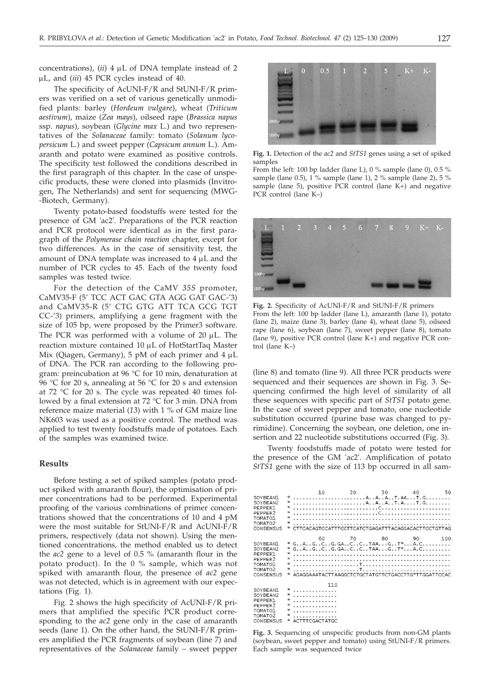concentrations),  $(ii)$  4  $\mu$ L of DNA template instead of 2 mL, and (*iii*) 45 PCR cycles instead of 40.

The specificity of AcUNI-F/R and StUNI-F/R primers was verified on a set of various genetically unmodified plants: barley (*Hordeum vulgare*), wheat (*Triticum aestivum*), maize (*Zea mays*), oilseed rape (*Brassica napus* ssp. *napus*), soybean (*Glycine max* L.) and two representatives of the *Solanaceae* family: tomato (*Solanum lycopersicum* L*.*) and sweet pepper (*Capsicum annum* L*.*). Amaranth and potato were examined as positive controls. The specificity test followed the conditions described in the first paragraph of this chapter. In the case of unspecific products, these were cloned into plasmids (Invitrogen, The Netherlands) and sent for sequencing (MWG- -Biotech, Germany).

Twenty potato-based foodstuffs were tested for the presence of GM 'ac2'. Preparations of the PCR reaction and PCR protocol were identical as in the first paragraph of the *Polymerase chain reaction* chapter, except for two differences. As in the case of sensitivity test, the amount of DNA template was increased to  $4 \mu L$  and the number of PCR cycles to 45. Each of the twenty food samples was tested twice.

For the detection of the CaMV *35S* promoter, CaMV35-F (5' TCC ACT GAC GTA AGG GAT GAC-'3) and CaMV35-R (5' CTG GTG ATT TCA GCG TGT CC-'3) primers, amplifying a gene fragment with the size of 105 bp, were proposed by the Primer3 software. The PCR was performed with a volume of 20  $\mu$ L. The reaction mixture contained 10 µL of HotStartTaq Master Mix (Qiagen, Germany),  $5$  pM of each primer and  $4 \mu L$ of DNA. The PCR ran according to the following program: preincubation at 96 °C for 10 min, denaturation at 96 °C for 20 s, annealing at 56 °C for 20 s and extension at 72 °C for 20 s. The cycle was repeated 40 times followed by a final extension at 72 °C for 3 min. DNA from reference maize material (*13*) with 1 % of GM maize line NK603 was used as a positive control. The method was applied to test twenty foodstuffs made of potatoes. Each of the samples was examined twice.

## **Results**

Before testing a set of spiked samples (potato product spiked with amaranth flour), the optimisation of primer concentrations had to be performed. Experimental proofing of the various combinations of primer concentrations showed that the concentrations of 10 and 4 pM were the most suitable for StUNI-F/R and AcUNI-F/R primers, respectively (data not shown). Using the mentioned concentrations, the method enabled us to detect the *ac2* gene to a level of 0.5 % (amaranth flour in the potato product). In the 0 % sample, which was not spiked with amaranth flour, the presence of *ac2* gene was not detected, which is in agreement with our expectations (Fig. 1).

Fig. 2 shows the high specificity of AcUNI-F/R primers that amplified the specific PCR product corresponding to the *ac2* gene only in the case of amaranth seeds (lane 1). On the other hand, the StUNI-F/R primers amplified the PCR fragments of soybean (line 7) and representatives of the *Solanaceae* family – sweet pepper



**Fig. 1.** Detection of the *ac2* and *StTS1* genes using a set of spiked samples

From the left: 100 bp ladder (lane L), 0  $\%$  sample (lane 0), 0.5  $\%$ sample (lane 0.5), 1 % sample (lane 1), 2 % sample (lane 2), 5 % sample (lane 5), positive PCR control (lane K+) and negative PCR control (lane K–)



**Fig. 2.** Specificity of AcUNI-F/R and StUNI-F/R primers From the left: 100 bp ladder (lane L), amaranth (lane 1), potato (lane 2), maize (lane 3), barley (lane 4), wheat (lane 5), oilseed rape (lane 6), soybean (lane 7), sweet pepper (lane 8), tomato (lane 9), positive PCR control (lane K+) and negative PCR control (lane K–)

(line 8) and tomato (line 9). All three PCR products were sequenced and their sequences are shown in Fig. 3. Sequencing confirmed the high level of similarity of all these sequences with specific part of *StTS1* potato gene. In the case of sweet pepper and tomato, one nucleotide substitution occurred (purine base was changed to pyrimidine). Concerning the soybean, one deletion, one insertion and 22 nucleotide substitutions occurred (Fig. 3).

Twenty foodstuffs made of potato were tested for the presence of the GM 'ac2'. Amplification of potato *StTS1* gene with the size of 113 bp occurred in all sam-

| SOYBEAN1<br>SOYBEAN2<br>PEPPER1<br>PEPPER2<br>TOMATO1<br>TOMATO <sub>2</sub><br>CONSENSUS | W<br><b>W</b><br><b>W</b><br>ŵ.<br>w                      | 10                              | 20 | 30 | 40<br>CITCACAGICCATTICCITCATCIGAGATTIACAGGACACTICCIGTIAG                                                                                                                                                                                                                                                                                                                                                                                           | 50  |
|-------------------------------------------------------------------------------------------|-----------------------------------------------------------|---------------------------------|----|----|----------------------------------------------------------------------------------------------------------------------------------------------------------------------------------------------------------------------------------------------------------------------------------------------------------------------------------------------------------------------------------------------------------------------------------------------------|-----|
| SOYBEAN1<br>SOYBEAN2<br>PEPPER1<br>PEPPER2<br>TOMATO1<br>TOMATO <sub>2</sub><br>CONSENSUS | <b>W</b><br>Ŵ.<br>Ý.<br>w                                 | 60                              | 70 | 80 | 90.<br>$G_1, A_1, G_1, C_1, G_2, G_3, C_1, C_2, T, T, G_1, T^*, \ldots A, C, \ldots, \ldots,$<br>$G_1, A_1, G_2, C_3, G_4, C_5, C_6, TAA_1, G_1, T^*, A, C_2, \ldots, C_6, T^*, C_7, C_8, C_9, C_1, C_2, C_3, C_4, C_7, C_8, C_9, C_1, C_2, C_3, C_4, C_1, C_2, C_3, C_4, C_1, C_2, C_3, C_4, C_4, C_5, C_6, C_7, C_8, C_9, C_1, C_2, C_1, C_2, C_1, C_2, C_1, C_2, C_2, C_3, C_4, C_1, C_2$<br>AGAGGAAATACTTAAGGCTCTGCTATGTTCTGACCTTG*TTGGATTCCAC | 100 |
| SOYBEAN1<br>SOYBEAN2<br>PEPPER1<br>PEPPER2<br>TOMATO1<br>TOMATO <sub>2</sub><br>CONSENSUS | ×<br>ŵ<br><b>W</b><br>.<br>¥.<br>.<br><b>W</b><br>×.<br>w | 110<br>.<br>.<br>ACTTTCGACTATGC |    |    |                                                                                                                                                                                                                                                                                                                                                                                                                                                    |     |

**Fig. 3.** Sequencing of unspecific products from non-GM plants (soybean, sweet pepper and tomato) using StUNI-F/R primers. Each sample was sequenced twice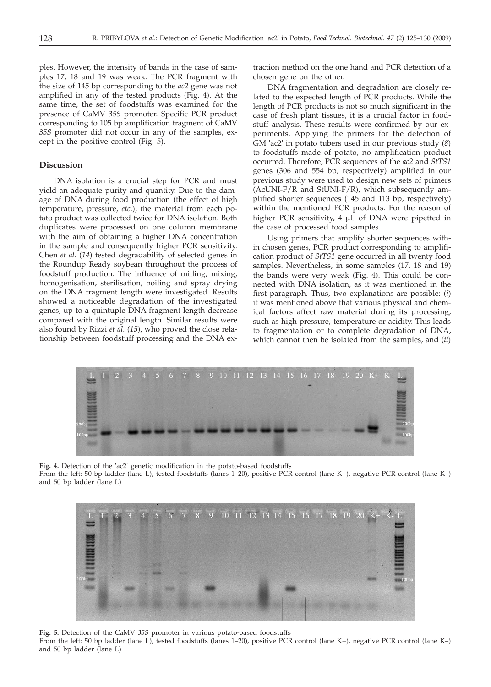ples. However, the intensity of bands in the case of samples 17, 18 and 19 was weak. The PCR fragment with the size of 145 bp corresponding to the *ac2* gene was not amplified in any of the tested products (Fig. 4). At the same time, the set of foodstuffs was examined for the presence of CaMV *35S* promoter. Specific PCR product corresponding to 105 bp amplification fragment of CaMV *35S* promoter did not occur in any of the samples, except in the positive control (Fig. 5).

## **Discussion**

DNA isolation is a crucial step for PCR and must yield an adequate purity and quantity. Due to the damage of DNA during food production (the effect of high temperature, pressure, *etc*.), the material from each potato product was collected twice for DNA isolation. Both duplicates were processed on one column membrane with the aim of obtaining a higher DNA concentration in the sample and consequently higher PCR sensitivity. Chen *et al.* (*14*) tested degradability of selected genes in the Roundup Ready soybean throughout the process of foodstuff production. The influence of milling, mixing, homogenisation, sterilisation, boiling and spray drying on the DNA fragment length were investigated. Results showed a noticeable degradation of the investigated genes, up to a quintuple DNA fragment length decrease compared with the original length. Similar results were also found by Rizzi *et al.* (*15*), who proved the close relationship between foodstuff processing and the DNA ex-

traction method on the one hand and PCR detection of a chosen gene on the other.

DNA fragmentation and degradation are closely related to the expected length of PCR products. While the length of PCR products is not so much significant in the case of fresh plant tissues, it is a crucial factor in foodstuff analysis. These results were confirmed by our experiments. Applying the primers for the detection of GM 'ac2' in potato tubers used in our previous study (*8*) to foodstuffs made of potato, no amplification product occurred. Therefore, PCR sequences of the *ac2* and *StTS1* genes (306 and 554 bp, respectively) amplified in our previous study were used to design new sets of primers  $(ACUNI-F/R$  and  $StUNI-F/R)$ , which subsequently amplified shorter sequences (145 and 113 bp, respectively) within the mentioned PCR products. For the reason of higher PCR sensitivity,  $4 \mu L$  of DNA were pipetted in the case of processed food samples.

Using primers that amplify shorter sequences within chosen genes, PCR product corresponding to amplification product of *StTS1* gene occurred in all twenty food samples. Nevertheless, in some samples (17, 18 and 19) the bands were very weak (Fig. 4). This could be connected with DNA isolation, as it was mentioned in the first paragraph. Thus, two explanations are possible: (*i*) it was mentioned above that various physical and chemical factors affect raw material during its processing, such as high pressure, temperature or acidity. This leads to fragmentation or to complete degradation of DNA, which cannot then be isolated from the samples, and (*ii*)



**Fig. 4.** Detection of the 'ac2' genetic modification in the potato-based foodstuffs From the left: 50 bp ladder (lane L), tested foodstuffs (lanes 1–20), positive PCR control (lane K+), negative PCR control (lane K–) and 50 bp ladder (lane L)



**Fig. 5.** Detection of the CaMV *35S* promoter in various potato-based foodstuffs From the left: 50 bp ladder (lane L), tested foodstuffs (lanes 1–20), positive PCR control (lane K+), negative PCR control (lane K–) and 50 bp ladder (lane L)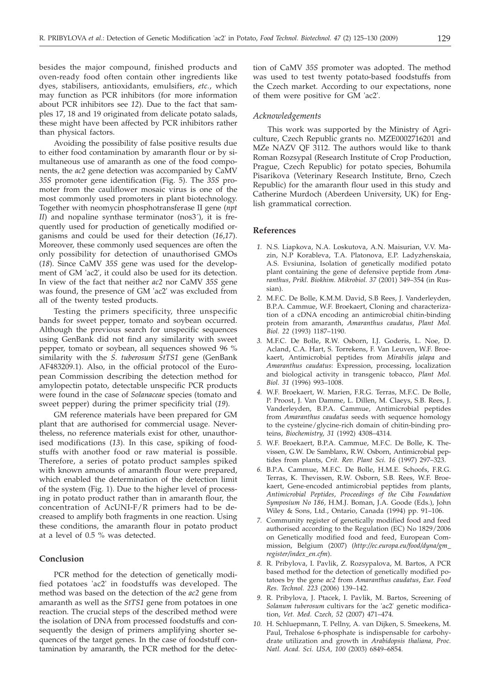besides the major compound, finished products and oven-ready food often contain other ingredients like dyes, stabilisers, antioxidants, emulsifiers, *etc.*, which may function as PCR inhibitors (for more information about PCR inhibitors see *12*). Due to the fact that samples 17, 18 and 19 originated from delicate potato salads, these might have been affected by PCR inhibitors rather than physical factors.

Avoiding the possibility of false positive results due to either food contamination by amaranth flour or by simultaneous use of amaranth as one of the food components, the *ac2* gene detection was accompanied by CaMV *35S* promoter gene identification (Fig. 5). The *35S* promoter from the cauliflower mosaic virus is one of the most commonly used promoters in plant biotechnology. Together with neomycin phosphotransferase II gene (*npt II*) and nopaline synthase terminator (nos3<sup>2</sup>), it is frequently used for production of genetically modified organisms and could be used for their detection (*16*,*17*). Moreover, these commonly used sequences are often the only possibility for detection of unauthorised GMOs (*18*). Since CaMV *35S* gene was used for the development of GM 'ac2', it could also be used for its detection. In view of the fact that neither *ac2* nor CaMV *35S* gene was found, the presence of GM 'ac2' was excluded from all of the twenty tested products.

Testing the primers specificity, three unspecific bands for sweet pepper, tomato and soybean occurred. Although the previous search for unspecific sequences using GenBank did not find any similarity with sweet pepper, tomato or soybean, all sequences showed 96 % similarity with the *S. tuberosum StTS1* gene (GenBank AF483209.1). Also, in the official protocol of the European Commission describing the detection method for amylopectin potato, detectable unspecific PCR products were found in the case of *Solanaceae* species (tomato and sweet pepper) during the primer specificity trial (*19*).

GM reference materials have been prepared for GM plant that are authorised for commercial usage. Nevertheless, no reference materials exist for other, unauthorised modifications (*13*). In this case, spiking of foodstuffs with another food or raw material is possible. Therefore, a series of potato product samples spiked with known amounts of amaranth flour were prepared, which enabled the determination of the detection limit of the system (Fig. 1). Due to the higher level of processing in potato product rather than in amaranth flour, the concentration of AcUNI-F/R primers had to be decreased to amplify both fragments in one reaction. Using these conditions, the amaranth flour in potato product at a level of 0.5 % was detected.

## **Conclusion**

PCR method for the detection of genetically modified potatoes 'ac2' in foodstuffs was developed. The method was based on the detection of the *ac2* gene from amaranth as well as the *StTS1* gene from potatoes in one reaction. The crucial steps of the described method were the isolation of DNA from processed foodstuffs and consequently the design of primers amplifying shorter sequences of the target genes. In the case of foodstuff contamination by amaranth, the PCR method for the detection of CaMV *35S* promoter was adopted. The method was used to test twenty potato-based foodstuffs from the Czech market. According to our expectations, none of them were positive for GM 'ac2'.

### *Acknowledgements*

This work was supported by the Ministry of Agriculture, Czech Republic grants no. MZE0002716201 and MZe NAZV QF 3112. The authors would like to thank Roman Rozsypal (Research Institute of Crop Production, Prague, Czech Republic) for potato species, Bohumila Pisarikova (Veterinary Research Institute, Brno, Czech Republic) for the amaranth flour used in this study and Catherine Murdoch (Aberdeen University, UK) for English grammatical correction.

#### **References**

- *1.* N.S. Liapkova, N.A. Loskutova, A.N. Maisurian, V.V. Mazin, N.P Korableva, T.A. Platonova, E.P. Ladyzhenskaia, A.S. Evsiunina, Isolation of genetically modified potato plant containing the gene of defensive peptide from *Amaranthus*, *Prikl. Biokhim. Mikrobiol. 37* (2001) 349–354 (in Russian).
- *2.* M.F.C. De Bolle, K.M.M. David, S.B Rees, J. Vanderleyden, B.P.A. Cammue, W.F. Broekaert, Cloning and characterization of a cDNA encoding an antimicrobial chitin-binding protein from amaranth, *Amaranthus caudatus*, *Plant Mol. Biol. 22* (1993) 1187–1190.
- *3.* M.F.C. De Bolle, R.W. Osborn, I.J. Goderis, L. Noe, D. Acland, C.A. Hart, S. Torrekens, F. Van Leuven, W.F. Broekaert, Antimicrobial peptides from *Mirabilis jalapa* and *Amaranthus caudatus*: Expression, processing, localization and biological activity in transgenic tobacco, *Plant Mol. Biol. 31* (1996) 993–1008.
- *4.* W.F. Broekaert, W. Marien, F.R.G. Terras, M.F.C. De Bolle, P. Proost, J. Van Damme, L. Dillen, M. Claeys, S.B. Rees, J. Vanderleyden, B.P.A. Cammue, Antimicrobial peptides from *Amaranthus caudatus* seeds with sequence homology to the cysteine/glycine-rich domain of chitin-binding proteins, *Biochemistry*, *31* (1992) 4308–4314.
- *5.* W.F. Broekaert, B.P.A. Cammue, M.F.C. De Bolle, K. Thevissen, G.W. De Samblanx, R.W. Osborn, Antimicrobial peptides from plants, *Crit. Rev. Plant Sci. 16* (1997) 297–323.
- *6.* B.P.A. Cammue, M.F.C. De Bolle, H.M.E. Schoofs, F.R.G. Terras, K. Thevissen, R.W. Osborn, S.B. Rees, W.F. Broekaert, Gene-encoded antimicrobial peptides from plants, *Antimicrobial Peptides*, *Proceedings of the Ciba Foundation Symposium No 186*, H.M.J. Boman, J.A. Goode (Eds.), John Wiley & Sons, Ltd., Ontario, Canada (1994) pp. 91–106.
- *7.* Community register of genetically modified food and feed authorised according to the Regulation (EC) No 1829/2006 on Genetically modified food and feed, European Commission, Belgium (2007) (*http://ec.europa.eu/food/dyna/gm\_ register/index\_en.cfm*).
- *8.* R. Pribylova, I. Pavlik, Z. Rozsypalova, M. Bartos, A PCR based method for the detection of genetically modified potatoes by the gene *ac2* from *Amaranthus caudatus*, *Eur. Food Res. Technol. 223* (2006) 139–142.
- *9.* R. Pribylova, J. Ptacek, I. Pavlik, M. Bartos, Screening of *Solanum tuberosum* cultivars for the 'ac2' genetic modification, *Vet. Med. Czech, 52* (2007) 471–474.
- *10.* H. Schluepmann, T. Pellny, A. van Dijken, S. Smeekens, M. Paul, Trehalose 6-phosphate is indispensable for carbohydrate utilization and growth in *Arabidopsis thaliana, Proc. Natl. Acad. Sci. USA, 100* (2003) 6849–6854.